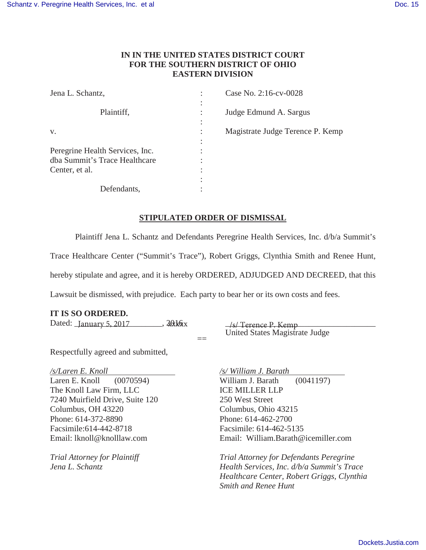## **IN IN THE UNITED STATES DISTRICT COURT FOR THE SOUTHERN DISTRICT OF OHIO EASTERN DIVISION**

| Jena L. Schantz,                                                                   | Case No. 2:16-cv-0028                                      |
|------------------------------------------------------------------------------------|------------------------------------------------------------|
| Plaintiff,                                                                         | ٠<br>٠<br>Judge Edmund A. Sargus<br>٠<br>$\bullet$<br>٠    |
| V.                                                                                 | ٠<br>Magistrate Judge Terence P. Kemp<br>٠<br>$\cdot$<br>٠ |
| Peregrine Health Services, Inc.<br>dba Summit's Trace Healthcare<br>Center, et al. | ٠<br>٠<br>٠                                                |
| Defendants,                                                                        | ٠                                                          |

## **STIPULATED ORDER OF DISMISSAL**

Plaintiff Jena L. Schantz and Defendants Peregrine Health Services, Inc. d/b/a Summit's

Trace Healthcare Center ("Summit's Trace"), Robert Griggs, Clynthia Smith and Renee Hunt,

hereby stipulate and agree, and it is hereby ORDERED, ADJUDGED AND DECREED, that this

Lawsuit be dismissed, with prejudice. Each party to bear her or its own costs and fees.

## **IT IS SO ORDERED.**

 $=$ 

Respectfully agreed and submitted,

*/s/Laren E. Knoll* Laren E. Knoll (0070594) The Knoll Law Firm, LLC 7240 Muirfield Drive, Suite 120 Columbus, OH 43220 Phone: 614-372-8890 Facsimile:614-442-8718 Email: lknoll@knolllaw.com

*Trial Attorney for Plaintiff Jena L. Schantz* 

Dated: January 5, 2017 300 300 300 300 31 36 36 37 4 36 37 4 36 37 4 36 37 46 38 46 38 46 38 38 46 38 46 38 46 United States Magistrate Judge /s/Terence P. Kemp

> */s/ William J. Barath* William J. Barath (0041197)

ICE MILLER LLP 250 West Street Columbus, Ohio 43215 Phone: 614-462-2700 Facsimile: 614-462-5135 Email: William.Barath@icemiller.com

*Trial Attorney for Defendants Peregrine Health Services, Inc. d/b/a Summit's Trace Healthcare Center, Robert Griggs, Clynthia Smith and Renee Hunt*